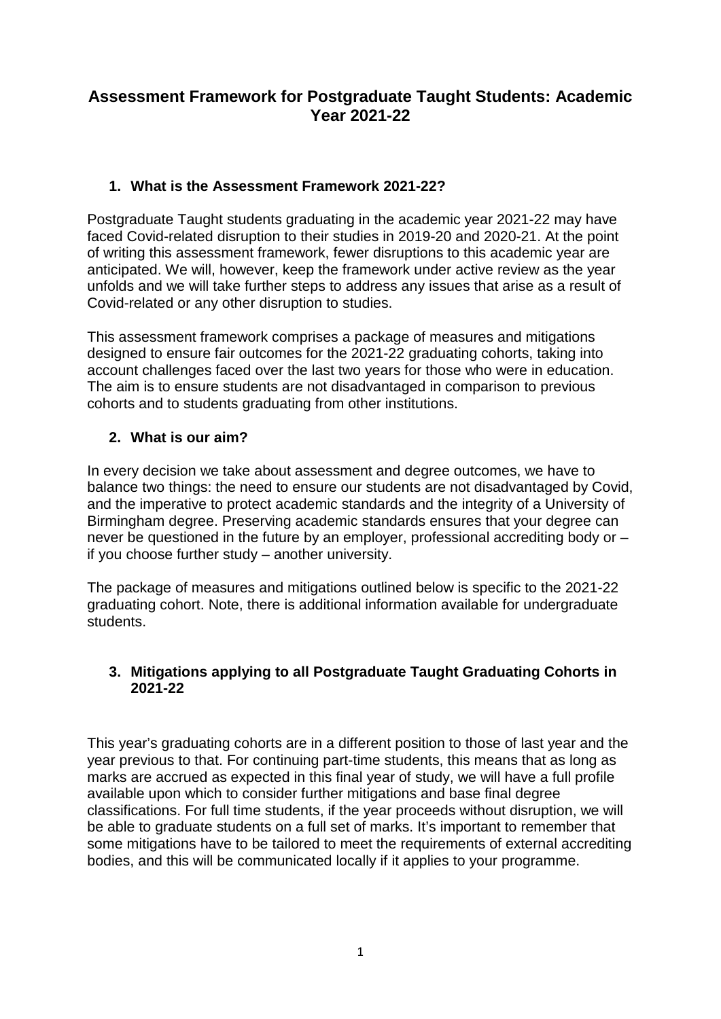# **Assessment Framework for Postgraduate Taught Students: Academic Year 2021-22**

## **1. What is the Assessment Framework 2021-22?**

Postgraduate Taught students graduating in the academic year 2021-22 may have faced Covid-related disruption to their studies in 2019-20 and 2020-21. At the point of writing this assessment framework, fewer disruptions to this academic year are anticipated. We will, however, keep the framework under active review as the year unfolds and we will take further steps to address any issues that arise as a result of Covid-related or any other disruption to studies.

This assessment framework comprises a package of measures and mitigations designed to ensure fair outcomes for the 2021-22 graduating cohorts, taking into account challenges faced over the last two years for those who were in education. The aim is to ensure students are not disadvantaged in comparison to previous cohorts and to students graduating from other institutions.

## **2. What is our aim?**

In every decision we take about assessment and degree outcomes, we have to balance two things: the need to ensure our students are not disadvantaged by Covid, and the imperative to protect academic standards and the integrity of a University of Birmingham degree. Preserving academic standards ensures that your degree can never be questioned in the future by an employer, professional accrediting body or – if you choose further study – another university.

The package of measures and mitigations outlined below is specific to the 2021-22 graduating cohort. Note, there is additional information available for undergraduate students.

#### **3. Mitigations applying to all Postgraduate Taught Graduating Cohorts in 2021-22**

This year's graduating cohorts are in a different position to those of last year and the year previous to that. For continuing part-time students, this means that as long as marks are accrued as expected in this final year of study, we will have a full profile available upon which to consider further mitigations and base final degree classifications. For full time students, if the year proceeds without disruption, we will be able to graduate students on a full set of marks. It's important to remember that some mitigations have to be tailored to meet the requirements of external accrediting bodies, and this will be communicated locally if it applies to your programme.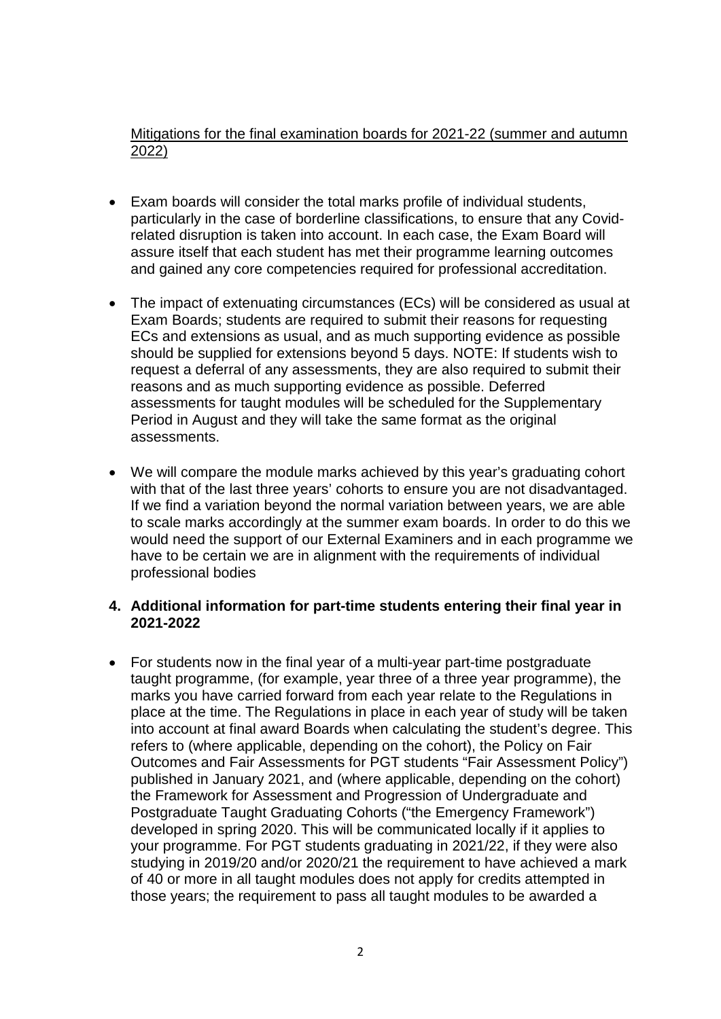Mitigations for the final examination boards for 2021-22 (summer and autumn 2022)

- Exam boards will consider the total marks profile of individual students, particularly in the case of borderline classifications, to ensure that any Covidrelated disruption is taken into account. In each case, the Exam Board will assure itself that each student has met their programme learning outcomes and gained any core competencies required for professional accreditation.
- The impact of extenuating circumstances (ECs) will be considered as usual at Exam Boards; students are required to submit their reasons for requesting ECs and extensions as usual, and as much supporting evidence as possible should be supplied for extensions beyond 5 days. NOTE: If students wish to request a deferral of any assessments, they are also required to submit their reasons and as much supporting evidence as possible. Deferred assessments for taught modules will be scheduled for the Supplementary Period in August and they will take the same format as the original assessments.
- We will compare the module marks achieved by this year's graduating cohort with that of the last three years' cohorts to ensure you are not disadvantaged. If we find a variation beyond the normal variation between years, we are able to scale marks accordingly at the summer exam boards. In order to do this we would need the support of our External Examiners and in each programme we have to be certain we are in alignment with the requirements of individual professional bodies

#### **4. Additional information for part-time students entering their final year in 2021-2022**

• For students now in the final year of a multi-year part-time postgraduate taught programme, (for example, year three of a three year programme), the marks you have carried forward from each year relate to the Regulations in place at the time. The Regulations in place in each year of study will be taken into account at final award Boards when calculating the student's degree. This refers to (where applicable, depending on the cohort), the Policy on Fair Outcomes and Fair Assessments for PGT students "Fair Assessment Policy") published in January 2021, and (where applicable, depending on the cohort) the Framework for Assessment and Progression of Undergraduate and Postgraduate Taught Graduating Cohorts ("the Emergency Framework") developed in spring 2020. This will be communicated locally if it applies to your programme. For PGT students graduating in 2021/22, if they were also studying in 2019/20 and/or 2020/21 the requirement to have achieved a mark of 40 or more in all taught modules does not apply for credits attempted in those years; the requirement to pass all taught modules to be awarded a